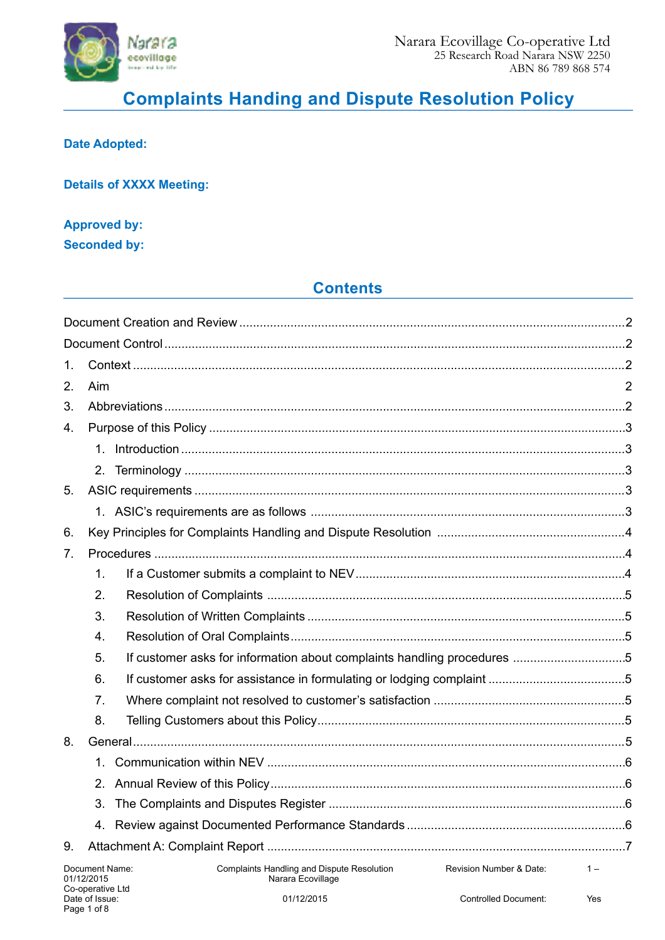

# **Complaints Handing and Dispute Resolution Policy**

### **Date Adopted:**

**Details of XXXX Meeting:** 

### **Approved by: Seconded by:**

# **Contents**

| 1. |                              |                                                                                                   |       |  |  |
|----|------------------------------|---------------------------------------------------------------------------------------------------|-------|--|--|
| 2. | Aim                          |                                                                                                   |       |  |  |
| 3. |                              |                                                                                                   |       |  |  |
| 4. |                              |                                                                                                   |       |  |  |
|    |                              |                                                                                                   |       |  |  |
|    |                              |                                                                                                   |       |  |  |
| 5. |                              |                                                                                                   |       |  |  |
|    |                              |                                                                                                   |       |  |  |
| 6. |                              |                                                                                                   |       |  |  |
| 7. |                              |                                                                                                   |       |  |  |
|    | 1.                           |                                                                                                   |       |  |  |
|    | 2.                           |                                                                                                   |       |  |  |
|    | 3.                           |                                                                                                   |       |  |  |
|    | 4.                           |                                                                                                   |       |  |  |
|    | 5.                           |                                                                                                   |       |  |  |
|    | 6.                           |                                                                                                   |       |  |  |
|    | 7 <sub>1</sub>               |                                                                                                   |       |  |  |
|    | 8.                           |                                                                                                   |       |  |  |
| 8. |                              |                                                                                                   |       |  |  |
|    | $1_{-}$                      |                                                                                                   |       |  |  |
|    | $2_{-}$                      |                                                                                                   |       |  |  |
|    |                              |                                                                                                   |       |  |  |
|    |                              |                                                                                                   |       |  |  |
| 9. |                              |                                                                                                   |       |  |  |
|    | Document Name:<br>01/12/2015 | <b>Complaints Handling and Dispute Resolution</b><br>Revision Number & Date:<br>Narara Ecovillage | $1 -$ |  |  |

Yes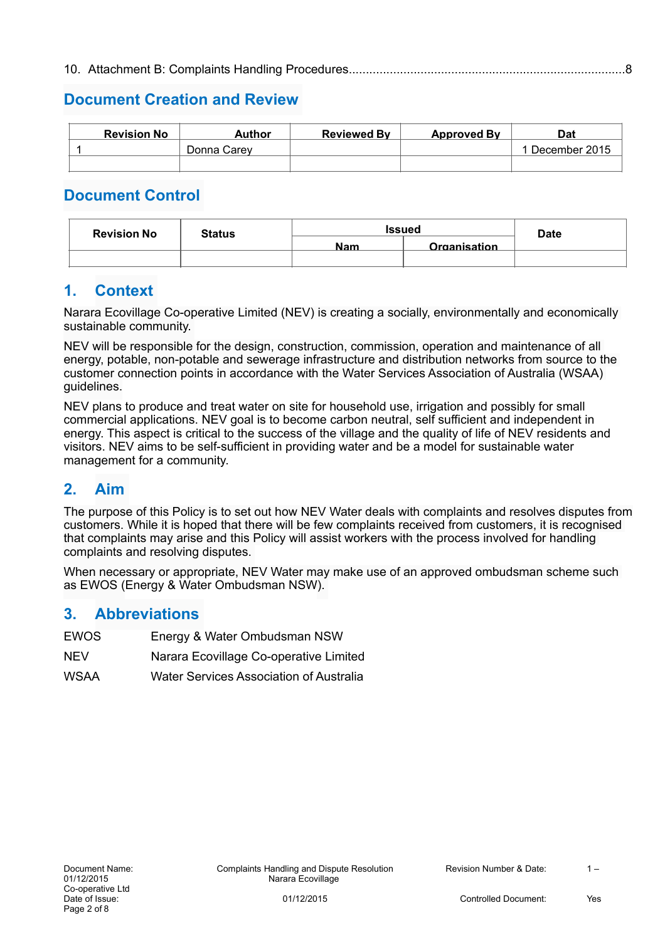# **Document Creation and Review**

| <b>Revision No</b> | Author      | <b>Reviewed By</b> | <b>Approved By</b> | Dat           |
|--------------------|-------------|--------------------|--------------------|---------------|
|                    | Donna Carev |                    |                    | December 2015 |
|                    |             |                    |                    |               |

# **Document Control**

| <b>Revision No</b> | <b>Status</b> | <b>Issued</b> |              | <b>Date</b> |
|--------------------|---------------|---------------|--------------|-------------|
|                    |               | <b>Nam</b>    | Organisation |             |
|                    |               |               |              |             |

### **1. Context**

Narara Ecovillage Co-operative Limited (NEV) is creating a socially, environmentally and economically sustainable community.

NEV will be responsible for the design, construction, commission, operation and maintenance of all energy, potable, non-potable and sewerage infrastructure and distribution networks from source to the customer connection points in accordance with the Water Services Association of Australia (WSAA) guidelines.

NEV plans to produce and treat water on site for household use, irrigation and possibly for small commercial applications. NEV goal is to become carbon neutral, self sufficient and independent in energy. This aspect is critical to the success of the village and the quality of life of NEV residents and visitors. NEV aims to be self-sufficient in providing water and be a model for sustainable water management for a community.

# **2. Aim**

The purpose of this Policy is to set out how NEV Water deals with complaints and resolves disputes from customers. While it is hoped that there will be few complaints received from customers, it is recognised that complaints may arise and this Policy will assist workers with the process involved for handling complaints and resolving disputes.

When necessary or appropriate, NEV Water may make use of an approved ombudsman scheme such as EWOS (Energy & Water Ombudsman NSW).

### **3. Abbreviations**

- EWOS Energy & Water Ombudsman NSW
- NEV Narara Ecovillage Co-operative Limited
- WSAA Water Services Association of Australia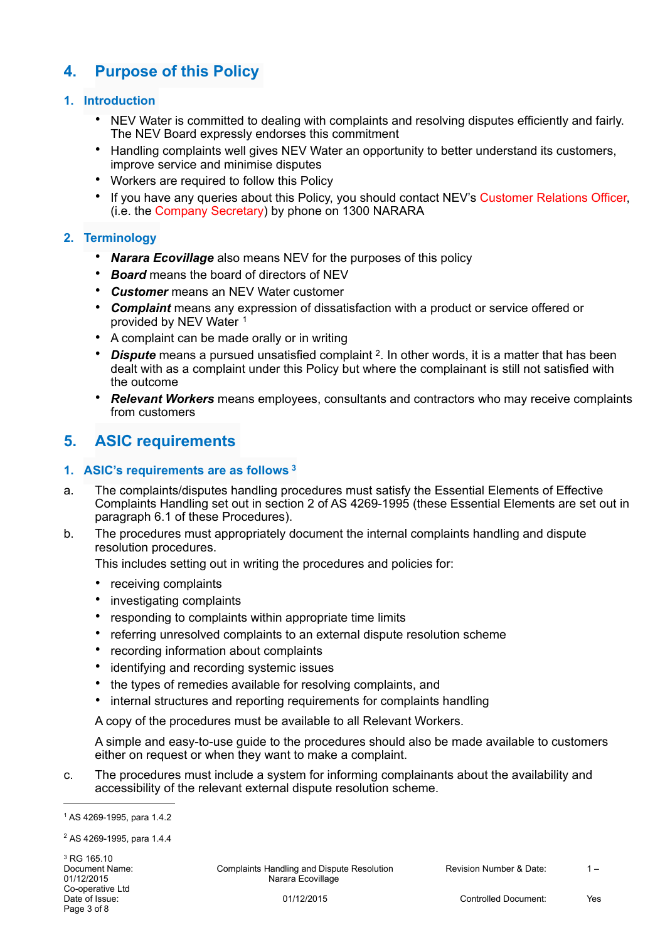# **4. Purpose of this Policy**

#### **1. Introduction**

- NEV Water is committed to dealing with complaints and resolving disputes efficiently and fairly. The NEV Board expressly endorses this commitment
- Handling complaints well gives NEV Water an opportunity to better understand its customers, improve service and minimise disputes
- Workers are required to follow this Policy
- If you have any queries about this Policy, you should contact NEV's Customer Relations Officer, (i.e. the Company Secretary) by phone on 1300 NARARA

#### **2. Terminology**

- *Narara Ecovillage* also means NEV for the purposes of this policy
- *Board* means the board of directors of NEV
- *Customer* means an NEV Water customer
- *Complaint* means any expression of dissatisfaction with a product or service offered or provided by NEV Water 1
- A complaint can be made orally or in writing
- *Dispute* means a pursued unsatisfied complaint <sup>2</sup>. In other words, it is a matter that has been dealt with as a complaint under this Policy but where the complainant is still not satisfied with the outcome
- *Relevant Workers* means employees, consultants and contractors who may receive complaints from customers

# **5. ASIC requirements**

#### **1. ASIC's requirements are as follows 3**

- a. The complaints/disputes handling procedures must satisfy the Essential Elements of Effective Complaints Handling set out in section 2 of AS 4269-1995 (these Essential Elements are set out in paragraph 6.1 of these Procedures).
- b. The procedures must appropriately document the internal complaints handling and dispute resolution procedures.

This includes setting out in writing the procedures and policies for:

- receiving complaints
- investigating complaints
- responding to complaints within appropriate time limits
- referring unresolved complaints to an external dispute resolution scheme
- recording information about complaints
- identifying and recording systemic issues
- the types of remedies available for resolving complaints, and
- internal structures and reporting requirements for complaints handling

A copy of the procedures must be available to all Relevant Workers.

A simple and easy-to-use guide to the procedures should also be made available to customers either on request or when they want to make a complaint.

c. The procedures must include a system for informing complainants about the availability and accessibility of the relevant external dispute resolution scheme.

Document Name: Complaints Handling and Dispute Resolution Revision Number & Date: 1 – 1<br>01/12/2015 **Revision Stand And Alta Revillage** Resolution Revision Number & Date: Narara Ecovillage

<sup>&</sup>lt;sup>1</sup> AS 4269-1995, para 1.4.2

<sup>&</sup>lt;sup>2</sup> AS 4269-1995, para 1.4.4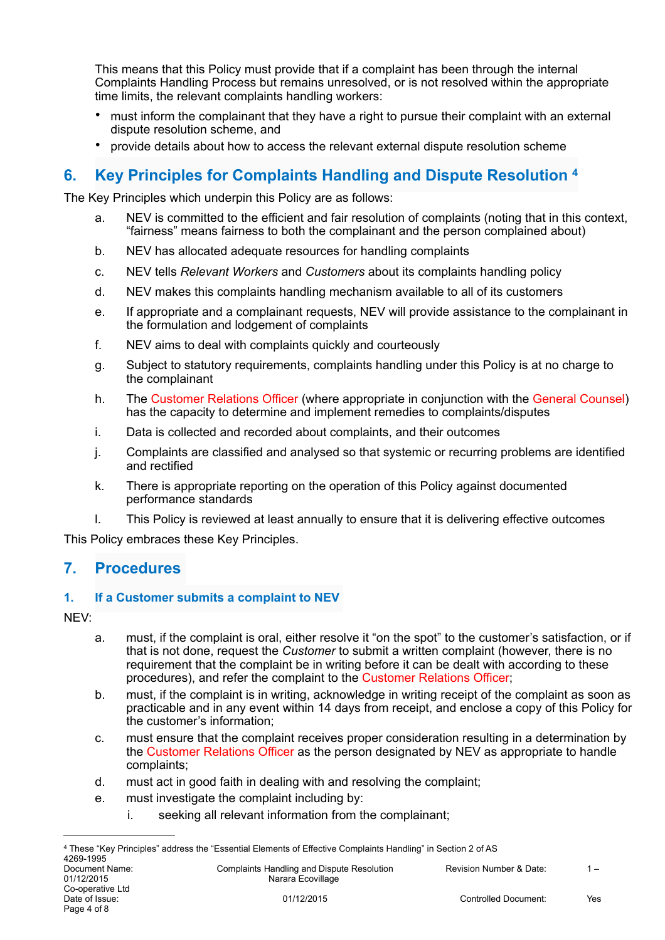This means that this Policy must provide that if a complaint has been through the internal Complaints Handling Process but remains unresolved, or is not resolved within the appropriate time limits, the relevant complaints handling workers:

- must inform the complainant that they have a right to pursue their complaint with an external dispute resolution scheme, and
- provide details about how to access the relevant external dispute resolution scheme

# **6. Key Principles for Complaints Handling and Dispute Resolution 4**

The Key Principles which underpin this Policy are as follows:

- a. NEV is committed to the efficient and fair resolution of complaints (noting that in this context, "fairness" means fairness to both the complainant and the person complained about)
- b. NEV has allocated adequate resources for handling complaints
- c. NEV tells *Relevant Workers* and *Customers* about its complaints handling policy
- d. NEV makes this complaints handling mechanism available to all of its customers
- e. If appropriate and a complainant requests, NEV will provide assistance to the complainant in the formulation and lodgement of complaints
- f. NEV aims to deal with complaints quickly and courteously
- g. Subject to statutory requirements, complaints handling under this Policy is at no charge to the complainant
- h. The Customer Relations Officer (where appropriate in conjunction with the General Counsel) has the capacity to determine and implement remedies to complaints/disputes
- i. Data is collected and recorded about complaints, and their outcomes
- j. Complaints are classified and analysed so that systemic or recurring problems are identified and rectified
- k. There is appropriate reporting on the operation of this Policy against documented performance standards
- l. This Policy is reviewed at least annually to ensure that it is delivering effective outcomes

This Policy embraces these Key Principles.

# **7. Procedures**

#### **1. If a Customer submits a complaint to NEV**

NEV:

- a. must, if the complaint is oral, either resolve it "on the spot" to the customer's satisfaction, or if that is not done, request the *Customer* to submit a written complaint (however, there is no requirement that the complaint be in writing before it can be dealt with according to these procedures), and refer the complaint to the Customer Relations Officer;
- b. must, if the complaint is in writing, acknowledge in writing receipt of the complaint as soon as practicable and in any event within 14 days from receipt, and enclose a copy of this Policy for the customer's information;
- c. must ensure that the complaint receives proper consideration resulting in a determination by the Customer Relations Officer as the person designated by NEV as appropriate to handle complaints;
- d. must act in good faith in dealing with and resolving the complaint;
- e. must investigate the complaint including by:
	- i. seeking all relevant information from the complainant;

Document Name: Complaints Handling and Dispute Resolution Revision Number & Date: 1 – 1<br>01/12/2015 **Revision Standard Resolution** Rarara Ecovillage Narara Ecovillage

These "Key Principles" address the "Essential Elements of Effective Complaints Handling" in Section 2 of AS 4 4269-1995<br>Document Name: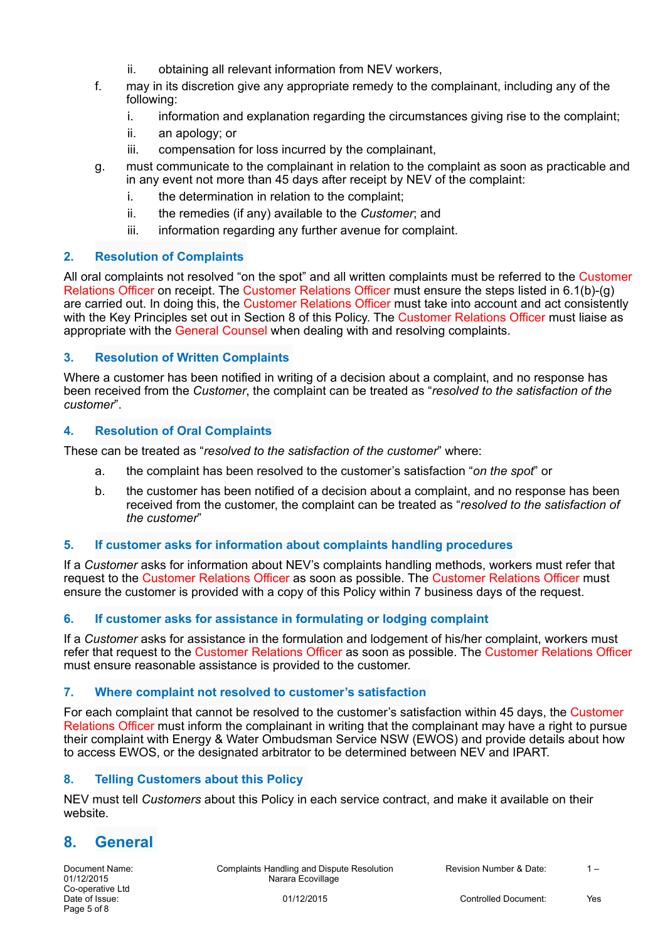- ii. obtaining all relevant information from NEV workers,
- f. may in its discretion give any appropriate remedy to the complainant, including any of the following:
	- i. information and explanation regarding the circumstances giving rise to the complaint;
	- ii. an apology; or
	- iii. compensation for loss incurred by the complainant,
- g. must communicate to the complainant in relation to the complaint as soon as practicable and in any event not more than 45 days after receipt by NEV of the complaint:
	- i. the determination in relation to the complaint;
	- ii. the remedies (if any) available to the *Customer*; and
	- iii. information regarding any further avenue for complaint.

#### **2. Resolution of Complaints**

All oral complaints not resolved "on the spot" and all written complaints must be referred to the Customer Relations Officer on receipt. The Customer Relations Officer must ensure the steps listed in 6.1(b)-(g) are carried out. In doing this, the Customer Relations Officer must take into account and act consistently with the Key Principles set out in Section 8 of this Policy. The Customer Relations Officer must liaise as appropriate with the General Counsel when dealing with and resolving complaints.

#### **3. Resolution of Written Complaints**

Where a customer has been notified in writing of a decision about a complaint, and no response has been received from the *Customer*, the complaint can be treated as "*resolved to the satisfaction of the customer*".

#### **4. Resolution of Oral Complaints**

These can be treated as "*resolved to the satisfaction of the customer*" where:

- a. the complaint has been resolved to the customer's satisfaction "*on the spot*" or
- b. the customer has been notified of a decision about a complaint, and no response has been received from the customer, the complaint can be treated as "*resolved to the satisfaction of the customer*"

#### **5. If customer asks for information about complaints handling procedures**

If a *Customer* asks for information about NEV's complaints handling methods, workers must refer that request to the Customer Relations Officer as soon as possible. The Customer Relations Officer must ensure the customer is provided with a copy of this Policy within 7 business days of the request.

#### **6. If customer asks for assistance in formulating or lodging complaint**

If a *Customer* asks for assistance in the formulation and lodgement of his/her complaint, workers must refer that request to the Customer Relations Officer as soon as possible. The Customer Relations Officer must ensure reasonable assistance is provided to the customer.

#### **7. Where complaint not resolved to customer's satisfaction**

For each complaint that cannot be resolved to the customer's satisfaction within 45 days, the Customer Relations Officer must inform the complainant in writing that the complainant may have a right to pursue their complaint with Energy & Water Ombudsman Service NSW (EWOS) and provide details about how to access EWOS, or the designated arbitrator to be determined between NEV and IPART.

#### **8. Telling Customers about this Policy**

NEV must tell *Customers* about this Policy in each service contract, and make it available on their website.

# **8. General**

Document Name: Complaints Handling and Dispute Resolution Revision Number & Date: 1 – 01/12/2015<br>
Rarara Ecovillage Complaints Handling and Dispute Resolution Narara Ecovillage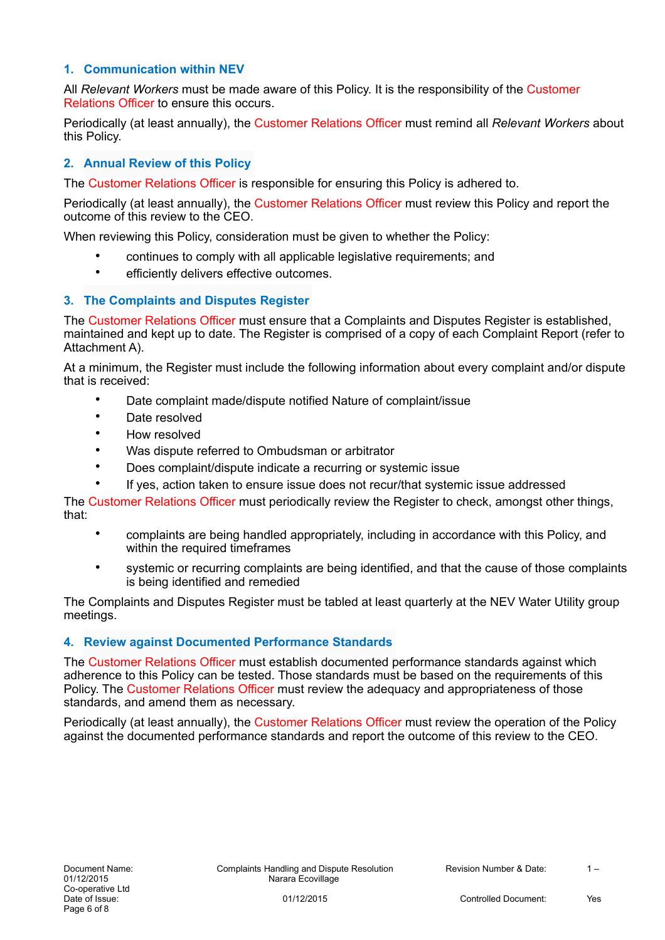#### **1. Communication within NEV**

All *Relevant Workers* must be made aware of this Policy. It is the responsibility of the Customer Relations Officer to ensure this occurs.

Periodically (at least annually), the Customer Relations Officer must remind all *Relevant Workers* about this Policy.

#### **2. Annual Review of this Policy**

The Customer Relations Officer is responsible for ensuring this Policy is adhered to.

Periodically (at least annually), the Customer Relations Officer must review this Policy and report the outcome of this review to the CEO.

When reviewing this Policy, consideration must be given to whether the Policy:

- continues to comply with all applicable legislative requirements; and
- efficiently delivers effective outcomes.

#### **3. The Complaints and Disputes Register**

The Customer Relations Officer must ensure that a Complaints and Disputes Register is established, maintained and kept up to date. The Register is comprised of a copy of each Complaint Report (refer to Attachment A).

At a minimum, the Register must include the following information about every complaint and/or dispute that is received:

- Date complaint made/dispute notified Nature of complaint/issue
- Date resolved
- How resolved
- Was dispute referred to Ombudsman or arbitrator
- Does complaint/dispute indicate a recurring or systemic issue
- If yes, action taken to ensure issue does not recur/that systemic issue addressed

The Customer Relations Officer must periodically review the Register to check, amongst other things, that:

- complaints are being handled appropriately, including in accordance with this Policy, and within the required timeframes
- systemic or recurring complaints are being identified, and that the cause of those complaints is being identified and remedied

The Complaints and Disputes Register must be tabled at least quarterly at the NEV Water Utility group meetings.

#### **4. Review against Documented Performance Standards**

The Customer Relations Officer must establish documented performance standards against which adherence to this Policy can be tested. Those standards must be based on the requirements of this Policy. The Customer Relations Officer must review the adequacy and appropriateness of those standards, and amend them as necessary.

Periodically (at least annually), the Customer Relations Officer must review the operation of the Policy against the documented performance standards and report the outcome of this review to the CEO.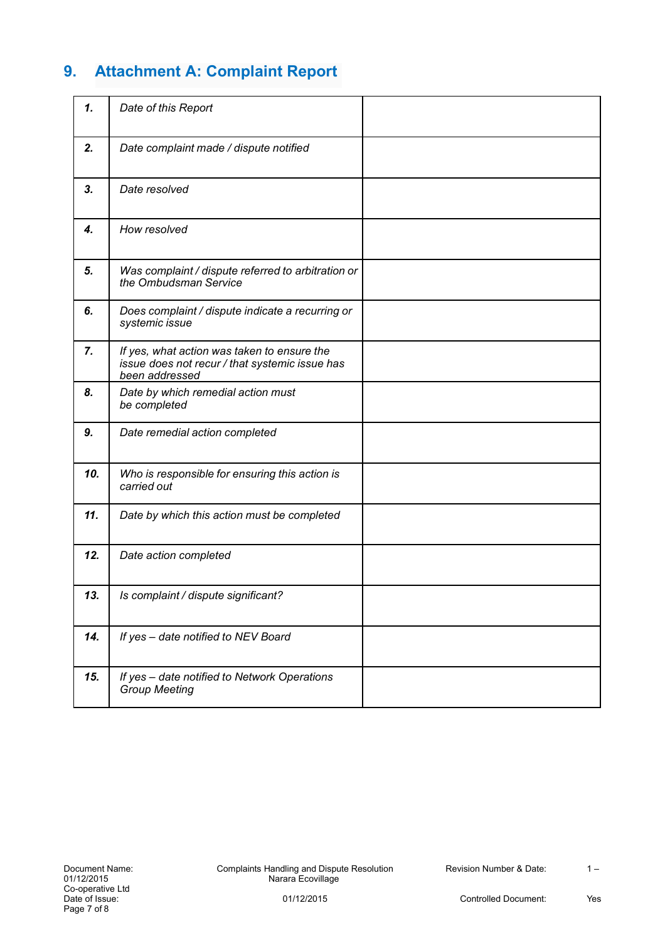# **9. Attachment A: Complaint Report**

| 1.  | Date of this Report                                                                                             |  |
|-----|-----------------------------------------------------------------------------------------------------------------|--|
| 2.  | Date complaint made / dispute notified                                                                          |  |
| 3.  | Date resolved                                                                                                   |  |
| 4.  | How resolved                                                                                                    |  |
| 5.  | Was complaint / dispute referred to arbitration or<br>the Ombudsman Service                                     |  |
| 6.  | Does complaint / dispute indicate a recurring or<br>systemic issue                                              |  |
| 7.  | If yes, what action was taken to ensure the<br>issue does not recur / that systemic issue has<br>been addressed |  |
| 8.  | Date by which remedial action must<br>be completed                                                              |  |
| 9.  | Date remedial action completed                                                                                  |  |
| 10. | Who is responsible for ensuring this action is<br>carried out                                                   |  |
| 11. | Date by which this action must be completed                                                                     |  |
| 12. | Date action completed                                                                                           |  |
| 13. | Is complaint / dispute significant?                                                                             |  |
| 14. | If yes - date notified to NEV Board                                                                             |  |
| 15. | If yes - date notified to Network Operations<br><b>Group Meeting</b>                                            |  |